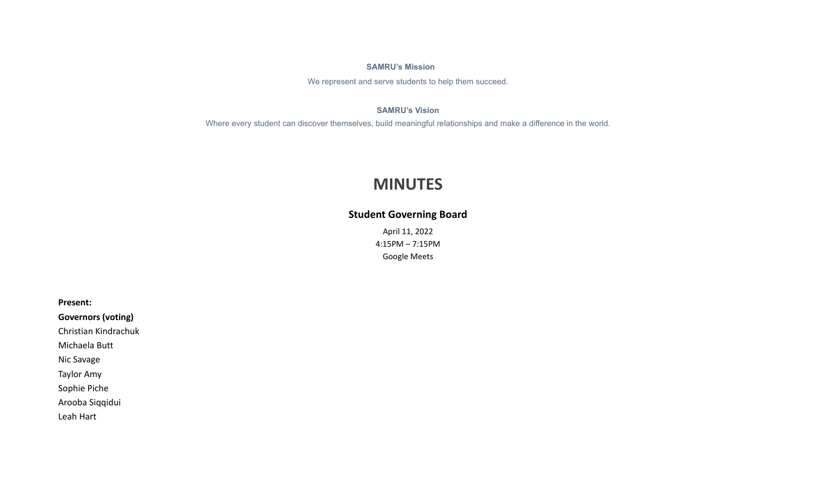# **SAMRU's Mission**

We represent and serve students to help them succeed.

# **SAMRU's Vision**

Where every student can discover themselves, build meaningful relationships and make a difference in the world.

# **MINUTES**

# **Student Governing Board**

April 11, 2022 4:15PM – 7:15PM Google Meets

**Present:**

**Governors (voting)**

Christian Kindrachuk

Michaela Butt

Nic Savage

Taylor Amy

Sophie Piche

Arooba Siqqidui

Leah Hart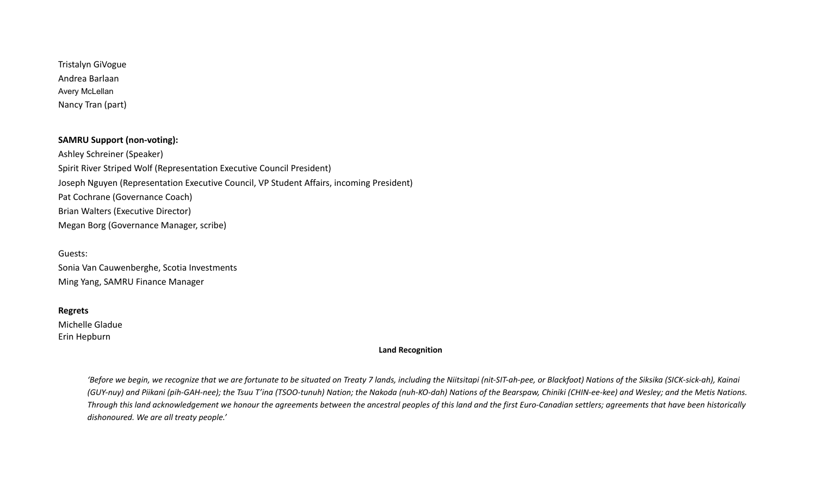Tristalyn GiVogue Andrea Barlaan Avery McLellan Nancy Tran (part)

# **SAMRU Support (non-voting):**

Ashley Schreiner (Speaker) Spirit River Striped Wolf (Representation Executive Council President) Joseph Nguyen (Representation Executive Council, VP Student Affairs, incoming President) Pat Cochrane (Governance Coach) Brian Walters (Executive Director) Megan Borg (Governance Manager, scribe)

Guests:

Sonia Van Cauwenberghe, Scotia Investments Ming Yang, SAMRU Finance Manager

### **Regrets**

Michelle Gladue Erin Hepburn

#### **Land Recognition**

'Before we begin, we recognize that we are fortunate to be situated on Treaty 7 lands, including the Niitsitapi (nit-SIT-ah-pee, or Blackfoot) Nations of the Siksika (SICK-sick-ah), Kainai (GUY-nuy) and Piikani (pih-GAH-nee); the Tsuu T'ina (TSOO-tunuh) Nation; the Nakoda (nuh-KO-dah) Nations of the Bearspaw, Chiniki (CHIN-ee-kee) and Wesley; and the Metis Nations. Through this land acknowledgement we honour the agreements between the ancestral peoples of this land and the first Euro-Canadian settlers; agreements that have been historically *dishonoured. We are all treaty people.'*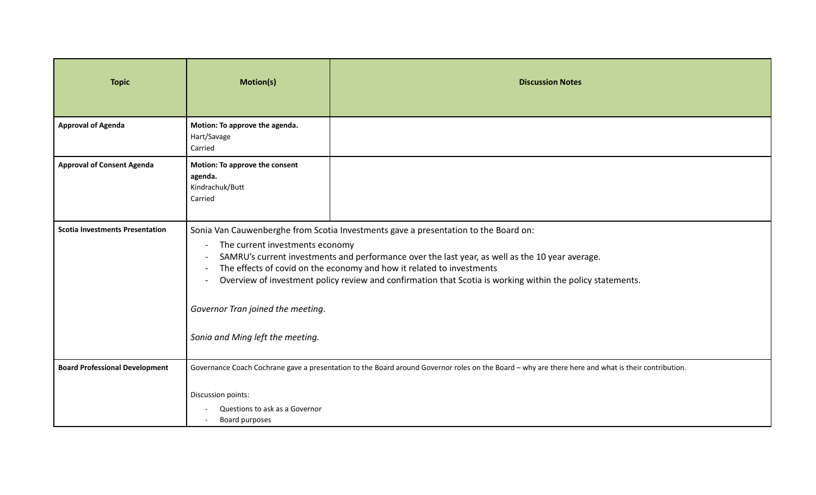| <b>Topic</b>                           | <b>Motion(s)</b>                                                                                                                                                                                                                                                                                                                                                                                                                                                                          | <b>Discussion Notes</b>                                                                                                                            |
|----------------------------------------|-------------------------------------------------------------------------------------------------------------------------------------------------------------------------------------------------------------------------------------------------------------------------------------------------------------------------------------------------------------------------------------------------------------------------------------------------------------------------------------------|----------------------------------------------------------------------------------------------------------------------------------------------------|
| <b>Approval of Agenda</b>              | Motion: To approve the agenda.<br>Hart/Savage<br>Carried                                                                                                                                                                                                                                                                                                                                                                                                                                  |                                                                                                                                                    |
| <b>Approval of Consent Agenda</b>      | Motion: To approve the consent<br>agenda.<br>Kindrachuk/Butt<br>Carried                                                                                                                                                                                                                                                                                                                                                                                                                   |                                                                                                                                                    |
| <b>Scotia Investments Presentation</b> | Sonia Van Cauwenberghe from Scotia Investments gave a presentation to the Board on:<br>The current investments economy<br>SAMRU's current investments and performance over the last year, as well as the 10 year average.<br>The effects of covid on the economy and how it related to investments<br>Overview of investment policy review and confirmation that Scotia is working within the policy statements.<br>Governor Tran joined the meeting.<br>Sonia and Ming left the meeting. |                                                                                                                                                    |
| <b>Board Professional Development</b>  | Discussion points:<br>Questions to ask as a Governor<br>Board purposes                                                                                                                                                                                                                                                                                                                                                                                                                    | Governance Coach Cochrane gave a presentation to the Board around Governor roles on the Board - why are there here and what is their contribution. |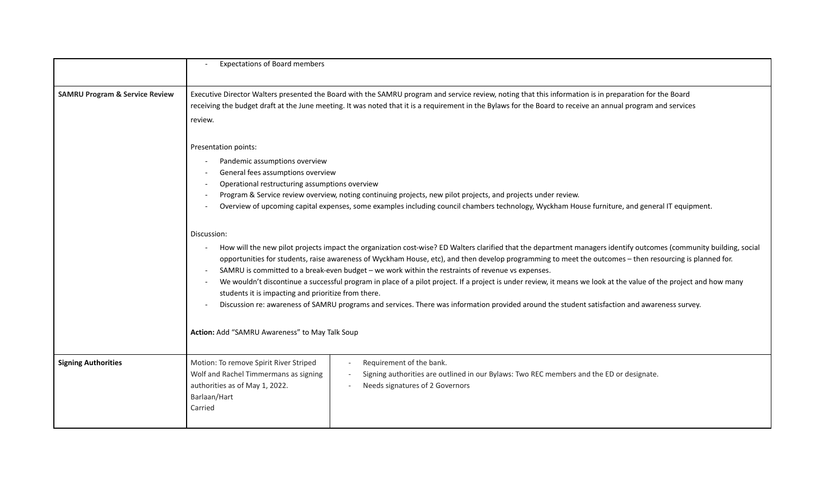|                                           | <b>Expectations of Board members</b>                                                                                                                                                                                                                                                                                                                                                                                                                                                                                                                                                                                                                                                                                                                                                                                                                                                                                                                                                                                                                                                                                                                                                                                                                                                                |  |
|-------------------------------------------|-----------------------------------------------------------------------------------------------------------------------------------------------------------------------------------------------------------------------------------------------------------------------------------------------------------------------------------------------------------------------------------------------------------------------------------------------------------------------------------------------------------------------------------------------------------------------------------------------------------------------------------------------------------------------------------------------------------------------------------------------------------------------------------------------------------------------------------------------------------------------------------------------------------------------------------------------------------------------------------------------------------------------------------------------------------------------------------------------------------------------------------------------------------------------------------------------------------------------------------------------------------------------------------------------------|--|
| <b>SAMRU Program &amp; Service Review</b> | Executive Director Walters presented the Board with the SAMRU program and service review, noting that this information is in preparation for the Board<br>receiving the budget draft at the June meeting. It was noted that it is a requirement in the Bylaws for the Board to receive an annual program and services<br>review.                                                                                                                                                                                                                                                                                                                                                                                                                                                                                                                                                                                                                                                                                                                                                                                                                                                                                                                                                                    |  |
|                                           | Presentation points:<br>Pandemic assumptions overview<br>General fees assumptions overview<br>Operational restructuring assumptions overview<br>Program & Service review overview, noting continuing projects, new pilot projects, and projects under review.<br>Overview of upcoming capital expenses, some examples including council chambers technology, Wyckham House furniture, and general IT equipment.<br>Discussion:<br>How will the new pilot projects impact the organization cost-wise? ED Walters clarified that the department managers identify outcomes (community building, social<br>opportunities for students, raise awareness of Wyckham House, etc), and then develop programming to meet the outcomes - then resourcing is planned for.<br>SAMRU is committed to a break-even budget - we work within the restraints of revenue vs expenses.<br>We wouldn't discontinue a successful program in place of a pilot project. If a project is under review, it means we look at the value of the project and how many<br>students it is impacting and prioritize from there.<br>Discussion re: awareness of SAMRU programs and services. There was information provided around the student satisfaction and awareness survey.<br>Action: Add "SAMRU Awareness" to May Talk Soup |  |
|                                           |                                                                                                                                                                                                                                                                                                                                                                                                                                                                                                                                                                                                                                                                                                                                                                                                                                                                                                                                                                                                                                                                                                                                                                                                                                                                                                     |  |
| <b>Signing Authorities</b>                | Motion: To remove Spirit River Striped<br>Requirement of the bank.<br>Wolf and Rachel Timmermans as signing<br>Signing authorities are outlined in our Bylaws: Two REC members and the ED or designate.<br>authorities as of May 1, 2022.<br>Needs signatures of 2 Governors<br>Barlaan/Hart<br>Carried                                                                                                                                                                                                                                                                                                                                                                                                                                                                                                                                                                                                                                                                                                                                                                                                                                                                                                                                                                                             |  |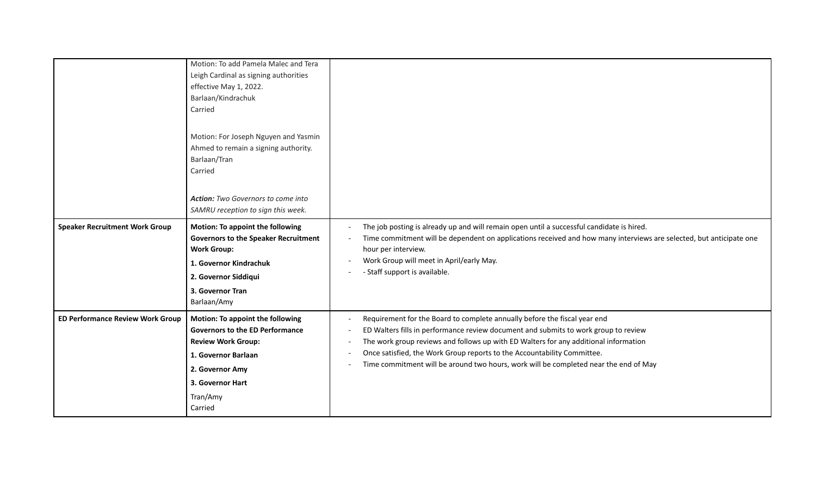|                                         | Motion: To add Pamela Malec and Tera<br>Leigh Cardinal as signing authorities<br>effective May 1, 2022.<br>Barlaan/Kindrachuk<br>Carried                                                     |                                                                                                                                                                                                                                                                                                                                                                                                                             |
|-----------------------------------------|----------------------------------------------------------------------------------------------------------------------------------------------------------------------------------------------|-----------------------------------------------------------------------------------------------------------------------------------------------------------------------------------------------------------------------------------------------------------------------------------------------------------------------------------------------------------------------------------------------------------------------------|
|                                         | Motion: For Joseph Nguyen and Yasmin<br>Ahmed to remain a signing authority.<br>Barlaan/Tran<br>Carried<br>Action: Two Governors to come into                                                |                                                                                                                                                                                                                                                                                                                                                                                                                             |
|                                         | SAMRU reception to sign this week.                                                                                                                                                           |                                                                                                                                                                                                                                                                                                                                                                                                                             |
| <b>Speaker Recruitment Work Group</b>   | Motion: To appoint the following<br><b>Governors to the Speaker Recruitment</b><br><b>Work Group:</b><br>1. Governor Kindrachuk<br>2. Governor Siddiqui<br>3. Governor Tran<br>Barlaan/Amy   | The job posting is already up and will remain open until a successful candidate is hired.<br>Time commitment will be dependent on applications received and how many interviews are selected, but anticipate one<br>hour per interview.<br>Work Group will meet in April/early May.<br>- Staff support is available.                                                                                                        |
| <b>ED Performance Review Work Group</b> | Motion: To appoint the following<br><b>Governors to the ED Performance</b><br><b>Review Work Group:</b><br>1. Governor Barlaan<br>2. Governor Amy<br>3. Governor Hart<br>Tran/Amy<br>Carried | Requirement for the Board to complete annually before the fiscal year end<br>ED Walters fills in performance review document and submits to work group to review<br>The work group reviews and follows up with ED Walters for any additional information<br>Once satisfied, the Work Group reports to the Accountability Committee.<br>Time commitment will be around two hours, work will be completed near the end of May |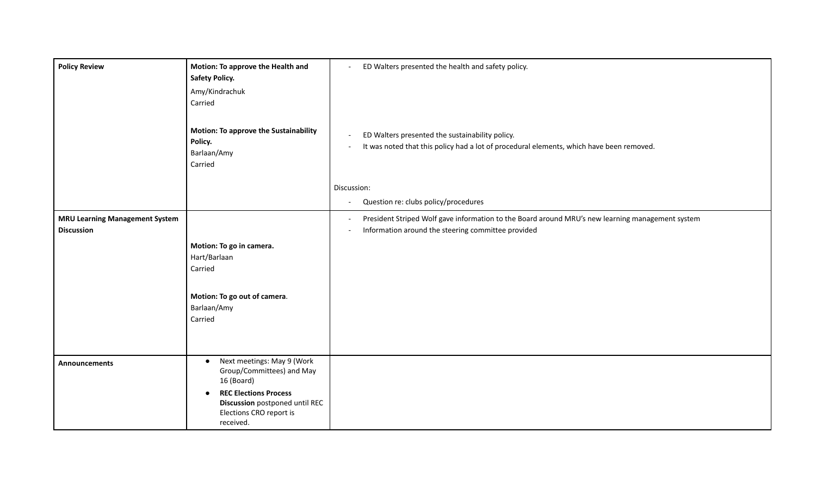| <b>Policy Review</b>                                       | Motion: To approve the Health and<br><b>Safety Policy.</b>                                                                                                                                   | ED Walters presented the health and safety policy.<br>$\blacksquare$                                                                                   |
|------------------------------------------------------------|----------------------------------------------------------------------------------------------------------------------------------------------------------------------------------------------|--------------------------------------------------------------------------------------------------------------------------------------------------------|
|                                                            | Amy/Kindrachuk<br>Carried                                                                                                                                                                    |                                                                                                                                                        |
|                                                            | <b>Motion: To approve the Sustainability</b><br>Policy.<br>Barlaan/Amy<br>Carried                                                                                                            | ED Walters presented the sustainability policy.<br>It was noted that this policy had a lot of procedural elements, which have been removed.            |
|                                                            |                                                                                                                                                                                              | Discussion:                                                                                                                                            |
|                                                            |                                                                                                                                                                                              | Question re: clubs policy/procedures<br>$\overline{\phantom{a}}$                                                                                       |
| <b>MRU Learning Management System</b><br><b>Discussion</b> |                                                                                                                                                                                              | President Striped Wolf gave information to the Board around MRU's new learning management system<br>Information around the steering committee provided |
|                                                            | Motion: To go in camera.<br>Hart/Barlaan<br>Carried<br>Motion: To go out of camera.                                                                                                          |                                                                                                                                                        |
|                                                            | Barlaan/Amy<br>Carried                                                                                                                                                                       |                                                                                                                                                        |
| Announcements                                              | Next meetings: May 9 (Work<br>$\bullet$<br>Group/Committees) and May<br>16 (Board)<br><b>REC Elections Process</b><br>Discussion postponed until REC<br>Elections CRO report is<br>received. |                                                                                                                                                        |